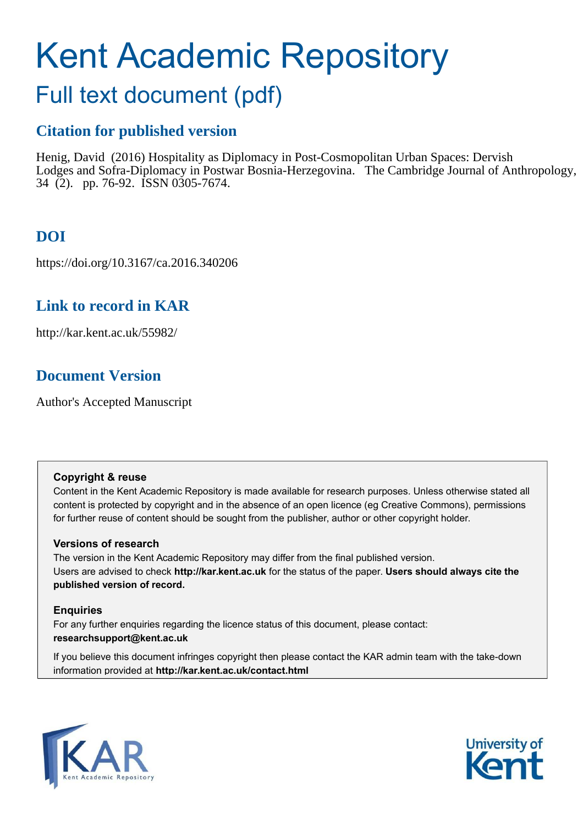# Kent Academic Repository

## Full text document (pdf)

## **Citation for published version**

Henig, David (2016) Hospitality as Diplomacy in Post-Cosmopolitan Urban Spaces: Dervish Lodges and Sofra-Diplomacy in Postwar Bosnia-Herzegovina. The Cambridge Journal of Anthropology, 34 (2). pp. 76-92. ISSN 0305-7674.

## **DOI**

https://doi.org/10.3167/ca.2016.340206

## **Link to record in KAR**

http://kar.kent.ac.uk/55982/

## **Document Version**

Author's Accepted Manuscript

#### **Copyright & reuse**

Content in the Kent Academic Repository is made available for research purposes. Unless otherwise stated all content is protected by copyright and in the absence of an open licence (eg Creative Commons), permissions for further reuse of content should be sought from the publisher, author or other copyright holder.

#### **Versions of research**

The version in the Kent Academic Repository may differ from the final published version. Users are advised to check **http://kar.kent.ac.uk** for the status of the paper. **Users should always cite the published version of record.**

#### **Enquiries**

For any further enquiries regarding the licence status of this document, please contact: **researchsupport@kent.ac.uk**

If you believe this document infringes copyright then please contact the KAR admin team with the take-down information provided at **http://kar.kent.ac.uk/contact.html**



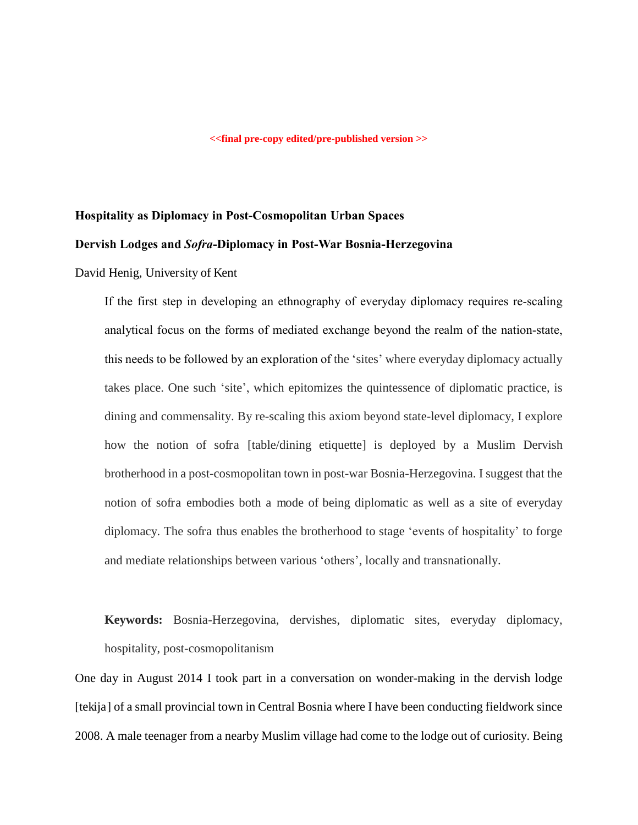**<<final pre-copy edited/pre-published version >>**

## **Hospitality as Diplomacy in Post-Cosmopolitan Urban Spaces Dervish Lodges and** *Sofra***-Diplomacy in Post-War Bosnia-Herzegovina**

David Henig, University of Kent

If the first step in developing an ethnography of everyday diplomacy requires re-scaling analytical focus on the forms of mediated exchange beyond the realm of the nation-state, this needs to be followed by an exploration of the 'sites' where everyday diplomacy actually takes place. One such 'site', which epitomizes the quintessence of diplomatic practice, is dining and commensality. By re-scaling this axiom beyond state-level diplomacy, I explore how the notion of sofra [table/dining etiquette] is deployed by a Muslim Dervish brotherhood in a post-cosmopolitan town in post-war Bosnia-Herzegovina. I suggest that the notion of sofra embodies both a mode of being diplomatic as well as a site of everyday diplomacy. The sofra thus enables the brotherhood to stage 'events of hospitality' to forge and mediate relationships between various 'others', locally and transnationally.

**Keywords:** Bosnia-Herzegovina, dervishes, diplomatic sites, everyday diplomacy, hospitality, post-cosmopolitanism

One day in August 2014 I took part in a conversation on wonder-making in the dervish lodge [tekija] of a small provincial town in Central Bosnia where I have been conducting fieldwork since 2008. A male teenager from a nearby Muslim village had come to the lodge out of curiosity. Being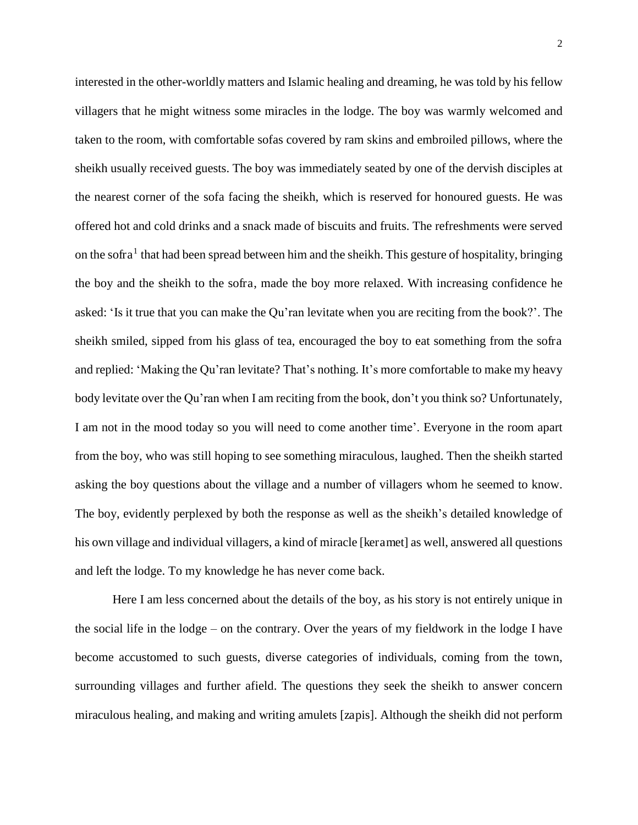interested in the other-worldly matters and Islamic healing and dreaming, he was told by his fellow villagers that he might witness some miracles in the lodge. The boy was warmly welcomed and taken to the room, with comfortable sofas covered by ram skins and embroiled pillows, where the sheikh usually received guests. The boy was immediately seated by one of the dervish disciples at the nearest corner of the sofa facing the sheikh, which is reserved for honoured guests. He was offered hot and cold drinks and a snack made of biscuits and fruits. The refreshments were served on the sofra<sup>1</sup> that had been spread between him and the sheikh. This gesture of hospitality, bringing the boy and the sheikh to the sofra, made the boy more relaxed. With increasing confidence he asked: 'Is it true that you can make the Qu'ran levitate when you are reciting from the book?'. The sheikh smiled, sipped from his glass of tea, encouraged the boy to eat something from the sofra and replied: 'Making the Qu'ran levitate? That's nothing. It's more comfortable to make my heavy body levitate over the Qu'ran when I am reciting from the book, don't you think so? Unfortunately, I am not in the mood today so you will need to come another time'. Everyone in the room apart from the boy, who was still hoping to see something miraculous, laughed. Then the sheikh started asking the boy questions about the village and a number of villagers whom he seemed to know. The boy, evidently perplexed by both the response as well as the sheikh's detailed knowledge of his own village and individual villagers, a kind of miracle [keramet] as well, answered all questions and left the lodge. To my knowledge he has never come back.

Here I am less concerned about the details of the boy, as his story is not entirely unique in the social life in the lodge – on the contrary. Over the years of my fieldwork in the lodge I have become accustomed to such guests, diverse categories of individuals, coming from the town, surrounding villages and further afield. The questions they seek the sheikh to answer concern miraculous healing, and making and writing amulets [zapis]. Although the sheikh did not perform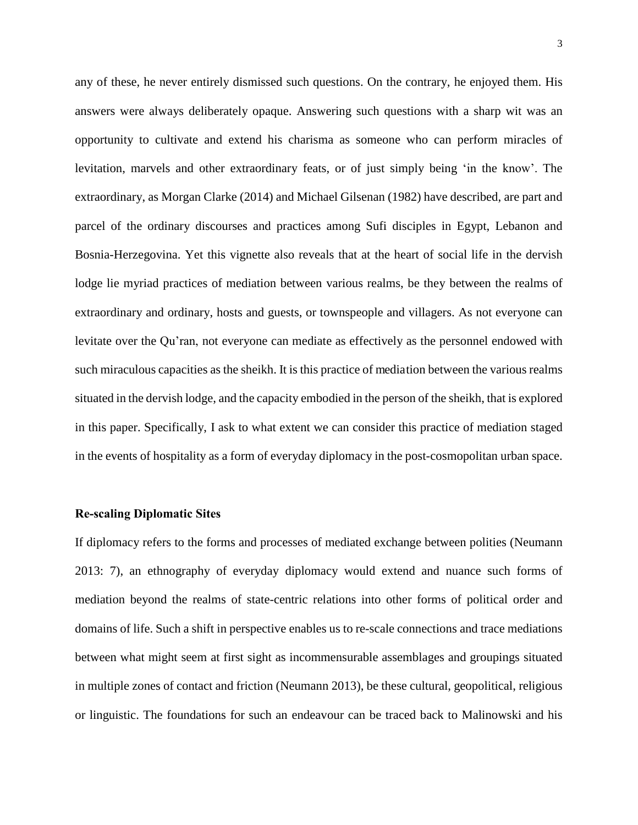any of these, he never entirely dismissed such questions. On the contrary, he enjoyed them. His answers were always deliberately opaque. Answering such questions with a sharp wit was an opportunity to cultivate and extend his charisma as someone who can perform miracles of levitation, marvels and other extraordinary feats, or of just simply being 'in the know'. The extraordinary, as Morgan Clarke (2014) and Michael Gilsenan (1982) have described, are part and parcel of the ordinary discourses and practices among Sufi disciples in Egypt, Lebanon and Bosnia-Herzegovina. Yet this vignette also reveals that at the heart of social life in the dervish lodge lie myriad practices of mediation between various realms, be they between the realms of extraordinary and ordinary, hosts and guests, or townspeople and villagers. As not everyone can levitate over the Qu'ran, not everyone can mediate as effectively as the personnel endowed with such miraculous capacities as the sheikh. It is this practice of mediation between the various realms situated in the dervish lodge, and the capacity embodied in the person of the sheikh, that is explored in this paper. Specifically, I ask to what extent we can consider this practice of mediation staged in the events of hospitality as a form of everyday diplomacy in the post-cosmopolitan urban space.

#### **Re-scaling Diplomatic Sites**

If diplomacy refers to the forms and processes of mediated exchange between polities (Neumann 2013: 7), an ethnography of everyday diplomacy would extend and nuance such forms of mediation beyond the realms of state-centric relations into other forms of political order and domains of life. Such a shift in perspective enables us to re-scale connections and trace mediations between what might seem at first sight as incommensurable assemblages and groupings situated in multiple zones of contact and friction (Neumann 2013), be these cultural, geopolitical, religious or linguistic. The foundations for such an endeavour can be traced back to Malinowski and his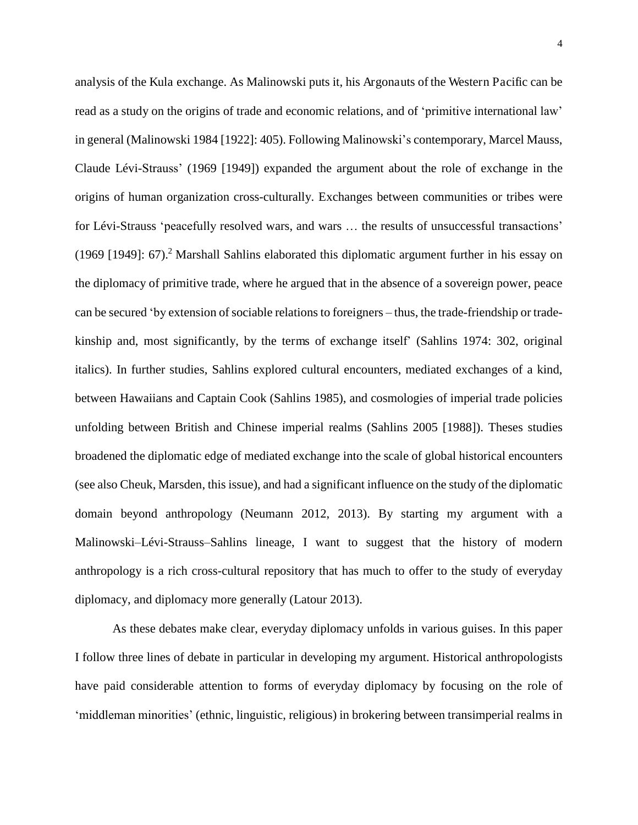analysis of the Kula exchange. As Malinowski puts it, his Argonauts of the Western Pacific can be read as a study on the origins of trade and economic relations, and of 'primitive international law' in general (Malinowski 1984 [1922]: 405). Following Malinowski's contemporary, Marcel Mauss, Claude Lévi-Strauss' (1969 [1949]) expanded the argument about the role of exchange in the origins of human organization cross-culturally. Exchanges between communities or tribes were for Lévi-Strauss 'peacefully resolved wars, and wars … the results of unsuccessful transactions' (1969 [1949]: 67).<sup>2</sup> Marshall Sahlins elaborated this diplomatic argument further in his essay on the diplomacy of primitive trade, where he argued that in the absence of a sovereign power, peace can be secured 'by extension of sociable relations to foreigners – thus, the trade-friendship or tradekinship and, most significantly, by the terms of exchange itself' (Sahlins 1974: 302, original italics). In further studies, Sahlins explored cultural encounters, mediated exchanges of a kind, between Hawaiians and Captain Cook (Sahlins 1985), and cosmologies of imperial trade policies unfolding between British and Chinese imperial realms (Sahlins 2005 [1988]). Theses studies broadened the diplomatic edge of mediated exchange into the scale of global historical encounters (see also Cheuk, Marsden, this issue), and had a significant influence on the study of the diplomatic domain beyond anthropology (Neumann 2012, 2013). By starting my argument with a Malinowski–Lévi-Strauss–Sahlins lineage, I want to suggest that the history of modern anthropology is a rich cross-cultural repository that has much to offer to the study of everyday diplomacy, and diplomacy more generally (Latour 2013).

As these debates make clear, everyday diplomacy unfolds in various guises. In this paper I follow three lines of debate in particular in developing my argument. Historical anthropologists have paid considerable attention to forms of everyday diplomacy by focusing on the role of 'middleman minorities' (ethnic, linguistic, religious) in brokering between transimperial realms in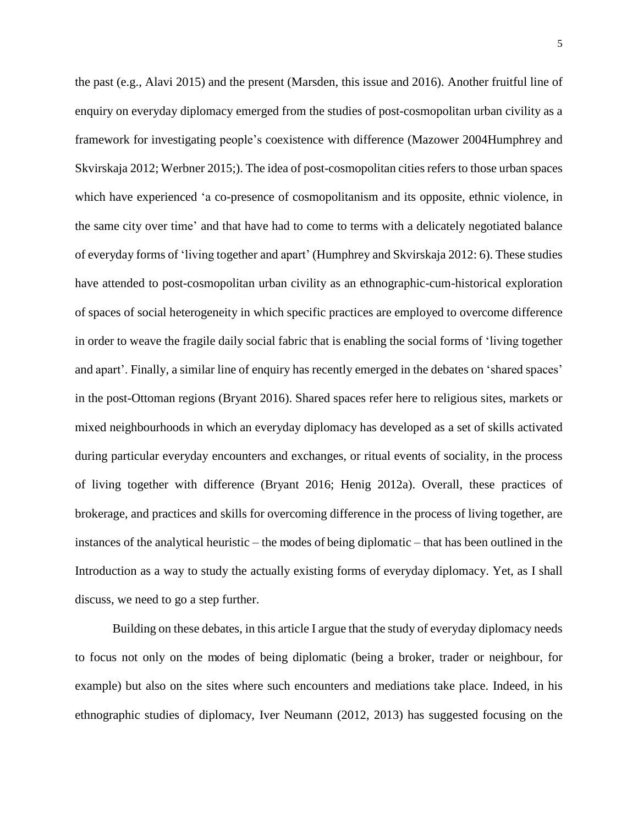the past (e.g., Alavi 2015) and the present (Marsden, this issue and 2016). Another fruitful line of enquiry on everyday diplomacy emerged from the studies of post-cosmopolitan urban civility as a framework for investigating people's coexistence with difference (Mazower 2004Humphrey and Skvirskaja 2012; Werbner 2015;). The idea of post-cosmopolitan cities refers to those urban spaces which have experienced 'a co-presence of cosmopolitanism and its opposite, ethnic violence, in the same city over time' and that have had to come to terms with a delicately negotiated balance of everyday forms of 'living together and apart' (Humphrey and Skvirskaja 2012: 6). These studies have attended to post-cosmopolitan urban civility as an ethnographic-cum-historical exploration of spaces of social heterogeneity in which specific practices are employed to overcome difference in order to weave the fragile daily social fabric that is enabling the social forms of 'living together and apart'. Finally, a similar line of enquiry has recently emerged in the debates on 'shared spaces' in the post-Ottoman regions (Bryant 2016). Shared spaces refer here to religious sites, markets or mixed neighbourhoods in which an everyday diplomacy has developed as a set of skills activated during particular everyday encounters and exchanges, or ritual events of sociality, in the process of living together with difference (Bryant 2016; Henig 2012a). Overall, these practices of brokerage, and practices and skills for overcoming difference in the process of living together, are instances of the analytical heuristic – the modes of being diplomatic – that has been outlined in the Introduction as a way to study the actually existing forms of everyday diplomacy. Yet, as I shall discuss, we need to go a step further.

Building on these debates, in this article I argue that the study of everyday diplomacy needs to focus not only on the modes of being diplomatic (being a broker, trader or neighbour, for example) but also on the sites where such encounters and mediations take place. Indeed, in his ethnographic studies of diplomacy, Iver Neumann (2012, 2013) has suggested focusing on the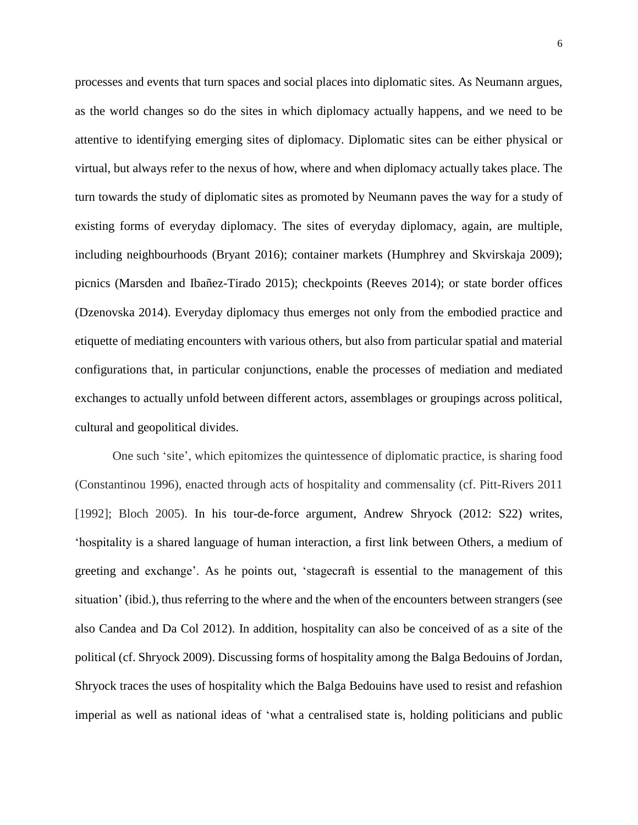processes and events that turn spaces and social places into diplomatic sites. As Neumann argues, as the world changes so do the sites in which diplomacy actually happens, and we need to be attentive to identifying emerging sites of diplomacy. Diplomatic sites can be either physical or virtual, but always refer to the nexus of how, where and when diplomacy actually takes place. The turn towards the study of diplomatic sites as promoted by Neumann paves the way for a study of existing forms of everyday diplomacy. The sites of everyday diplomacy, again, are multiple, including neighbourhoods (Bryant 2016); container markets (Humphrey and Skvirskaja 2009); picnics (Marsden and Ibañez-Tirado 2015); checkpoints (Reeves 2014); or state border offices (Dzenovska 2014). Everyday diplomacy thus emerges not only from the embodied practice and etiquette of mediating encounters with various others, but also from particular spatial and material configurations that, in particular conjunctions, enable the processes of mediation and mediated exchanges to actually unfold between different actors, assemblages or groupings across political, cultural and geopolitical divides.

One such 'site', which epitomizes the quintessence of diplomatic practice, is sharing food (Constantinou 1996), enacted through acts of hospitality and commensality (cf. Pitt-Rivers 2011 [1992]; Bloch 2005). In his tour-de-force argument, Andrew Shryock (2012: S22) writes, 'hospitality is a shared language of human interaction, a first link between Others, a medium of greeting and exchange'. As he points out, 'stagecraft is essential to the management of this situation' (ibid.), thus referring to the where and the when of the encounters between strangers (see also Candea and Da Col 2012). In addition, hospitality can also be conceived of as a site of the political (cf. Shryock 2009). Discussing forms of hospitality among the Balga Bedouins of Jordan, Shryock traces the uses of hospitality which the Balga Bedouins have used to resist and refashion imperial as well as national ideas of 'what a centralised state is, holding politicians and public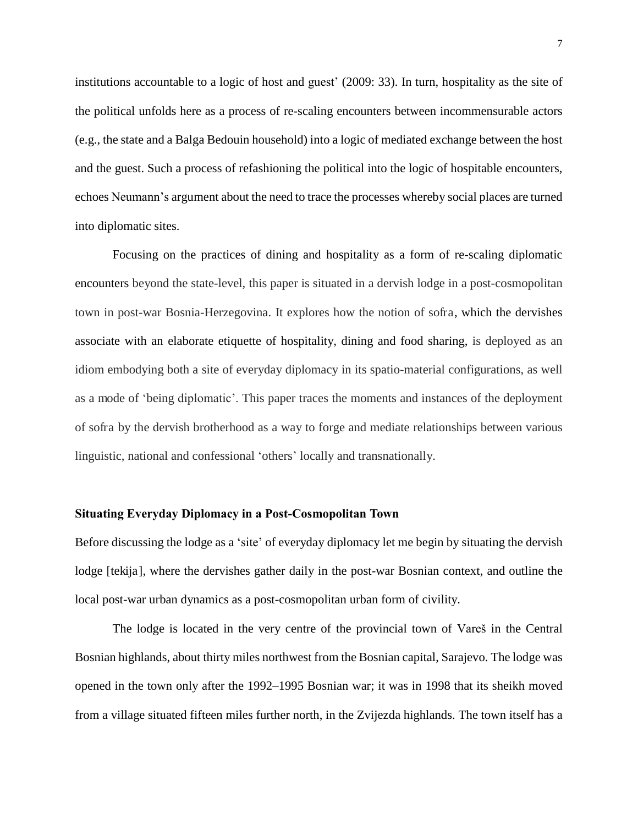institutions accountable to a logic of host and guest' (2009: 33). In turn, hospitality as the site of the political unfolds here as a process of re-scaling encounters between incommensurable actors (e.g., the state and a Balga Bedouin household) into a logic of mediated exchange between the host and the guest. Such a process of refashioning the political into the logic of hospitable encounters, echoes Neumann's argument about the need to trace the processes whereby social places are turned into diplomatic sites.

Focusing on the practices of dining and hospitality as a form of re-scaling diplomatic encounters beyond the state-level, this paper is situated in a dervish lodge in a post-cosmopolitan town in post-war Bosnia-Herzegovina. It explores how the notion of sofra, which the dervishes associate with an elaborate etiquette of hospitality, dining and food sharing, is deployed as an idiom embodying both a site of everyday diplomacy in its spatio-material configurations, as well as a mode of 'being diplomatic'. This paper traces the moments and instances of the deployment of sofra by the dervish brotherhood as a way to forge and mediate relationships between various linguistic, national and confessional 'others' locally and transnationally.

#### **Situating Everyday Diplomacy in a Post-Cosmopolitan Town**

Before discussing the lodge as a 'site' of everyday diplomacy let me begin by situating the dervish lodge [tekija], where the dervishes gather daily in the post-war Bosnian context, and outline the local post-war urban dynamics as a post-cosmopolitan urban form of civility.

The lodge is located in the very centre of the provincial town of Vareš in the Central Bosnian highlands, about thirty miles northwest from the Bosnian capital, Sarajevo. The lodge was opened in the town only after the 1992–1995 Bosnian war; it was in 1998 that its sheikh moved from a village situated fifteen miles further north, in the Zvijezda highlands. The town itself has a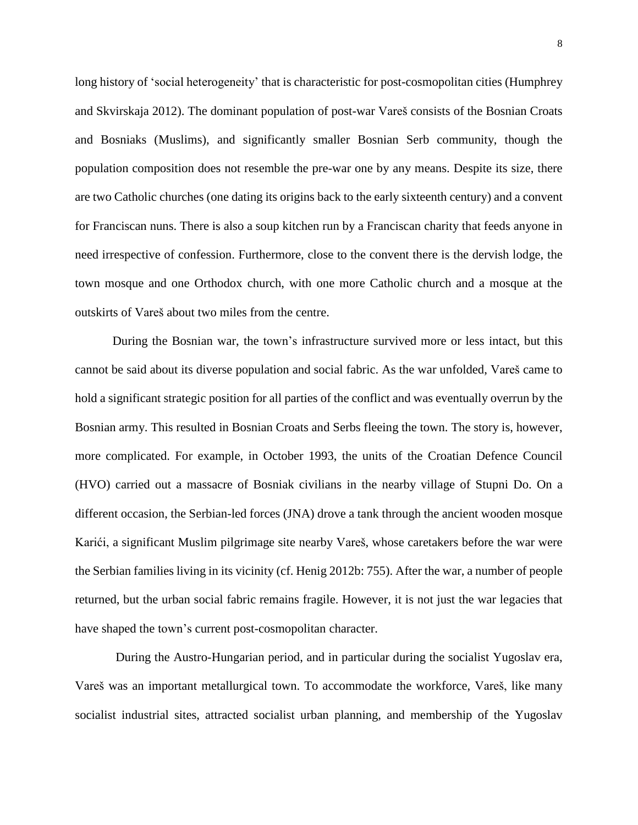long history of 'social heterogeneity' that is characteristic for post-cosmopolitan cities (Humphrey and Skvirskaja 2012). The dominant population of post-war Vareš consists of the Bosnian Croats and Bosniaks (Muslims), and significantly smaller Bosnian Serb community, though the population composition does not resemble the pre-war one by any means. Despite its size, there are two Catholic churches (one dating its origins back to the early sixteenth century) and a convent for Franciscan nuns. There is also a soup kitchen run by a Franciscan charity that feeds anyone in need irrespective of confession. Furthermore, close to the convent there is the dervish lodge, the town mosque and one Orthodox church, with one more Catholic church and a mosque at the outskirts of Vareš about two miles from the centre.

During the Bosnian war, the town's infrastructure survived more or less intact, but this cannot be said about its diverse population and social fabric. As the war unfolded, Vareš came to hold a significant strategic position for all parties of the conflict and was eventually overrun by the Bosnian army. This resulted in Bosnian Croats and Serbs fleeing the town. The story is, however, more complicated. For example, in October 1993, the units of the Croatian Defence Council (HVO) carried out a massacre of Bosniak civilians in the nearby village of Stupni Do. On a different occasion, the Serbian-led forces (JNA) drove a tank through the ancient wooden mosque Karići, a significant Muslim pilgrimage site nearby Vareš, whose caretakers before the war were the Serbian families living in its vicinity (cf. Henig 2012b: 755). After the war, a number of people returned, but the urban social fabric remains fragile. However, it is not just the war legacies that have shaped the town's current post-cosmopolitan character.

 During the Austro-Hungarian period, and in particular during the socialist Yugoslav era, Vareš was an important metallurgical town. To accommodate the workforce, Vareš, like many socialist industrial sites, attracted socialist urban planning, and membership of the Yugoslav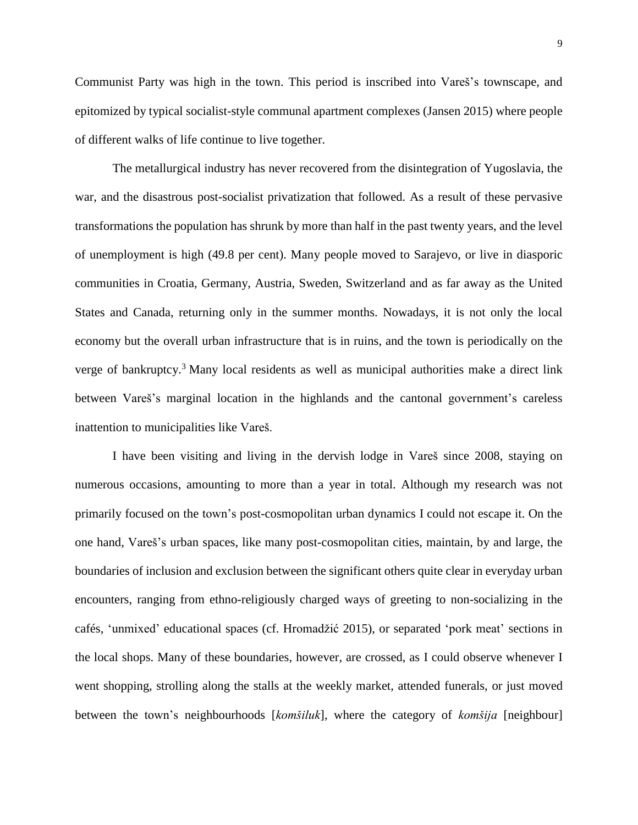Communist Party was high in the town. This period is inscribed into Vareš's townscape, and epitomized by typical socialist-style communal apartment complexes (Jansen 2015) where people of different walks of life continue to live together.

The metallurgical industry has never recovered from the disintegration of Yugoslavia, the war, and the disastrous post-socialist privatization that followed. As a result of these pervasive transformations the population has shrunk by more than half in the past twenty years, and the level of unemployment is high (49.8 per cent). Many people moved to Sarajevo, or live in diasporic communities in Croatia, Germany, Austria, Sweden, Switzerland and as far away as the United States and Canada, returning only in the summer months. Nowadays, it is not only the local economy but the overall urban infrastructure that is in ruins, and the town is periodically on the verge of bankruptcy.<sup>3</sup> Many local residents as well as municipal authorities make a direct link between Vareš's marginal location in the highlands and the cantonal government's careless inattention to municipalities like Vareš.

I have been visiting and living in the dervish lodge in Vareš since 2008, staying on numerous occasions, amounting to more than a year in total. Although my research was not primarily focused on the town's post-cosmopolitan urban dynamics I could not escape it. On the one hand, Vareš's urban spaces, like many post-cosmopolitan cities, maintain, by and large, the boundaries of inclusion and exclusion between the significant others quite clear in everyday urban encounters, ranging from ethno-religiously charged ways of greeting to non-socializing in the cafés, 'unmixed' educational spaces (cf. Hromadžić 2015), or separated 'pork meat' sections in the local shops. Many of these boundaries, however, are crossed, as I could observe whenever I went shopping, strolling along the stalls at the weekly market, attended funerals, or just moved between the town's neighbourhoods [*komšiluk*], where the category of *komšija* [neighbour]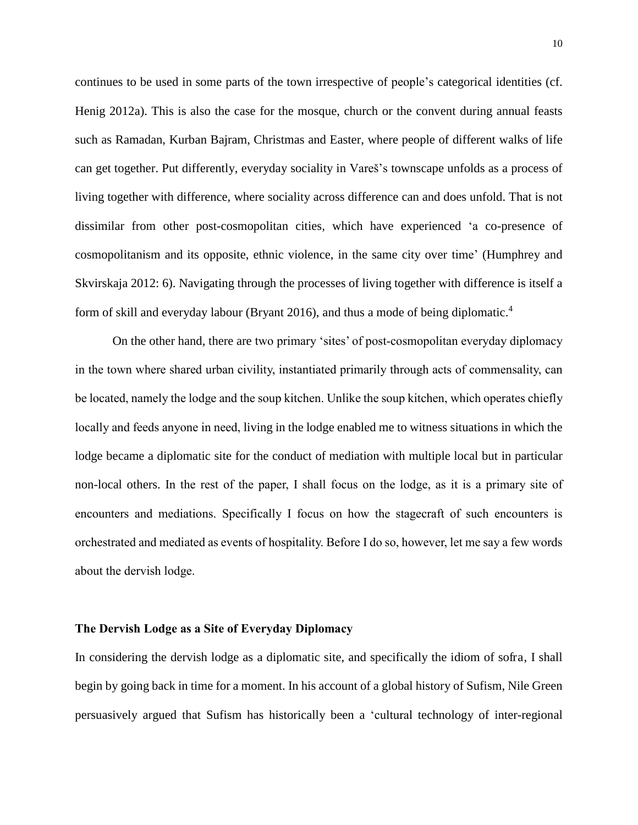continues to be used in some parts of the town irrespective of people's categorical identities (cf. Henig 2012a). This is also the case for the mosque, church or the convent during annual feasts such as Ramadan, Kurban Bajram, Christmas and Easter, where people of different walks of life can get together. Put differently, everyday sociality in Vareš's townscape unfolds as a process of living together with difference, where sociality across difference can and does unfold. That is not dissimilar from other post-cosmopolitan cities, which have experienced 'a co-presence of cosmopolitanism and its opposite, ethnic violence, in the same city over time' (Humphrey and Skvirskaja 2012: 6). Navigating through the processes of living together with difference is itself a form of skill and everyday labour (Bryant 2016), and thus a mode of being diplomatic.<sup>4</sup>

On the other hand, there are two primary 'sites' of post-cosmopolitan everyday diplomacy in the town where shared urban civility, instantiated primarily through acts of commensality, can be located, namely the lodge and the soup kitchen. Unlike the soup kitchen, which operates chiefly locally and feeds anyone in need, living in the lodge enabled me to witness situations in which the lodge became a diplomatic site for the conduct of mediation with multiple local but in particular non-local others. In the rest of the paper, I shall focus on the lodge, as it is a primary site of encounters and mediations. Specifically I focus on how the stagecraft of such encounters is orchestrated and mediated as events of hospitality. Before I do so, however, let me say a few words about the dervish lodge.

#### **The Dervish Lodge as a Site of Everyday Diplomacy**

In considering the dervish lodge as a diplomatic site, and specifically the idiom of sofra, I shall begin by going back in time for a moment. In his account of a global history of Sufism, Nile Green persuasively argued that Sufism has historically been a 'cultural technology of inter-regional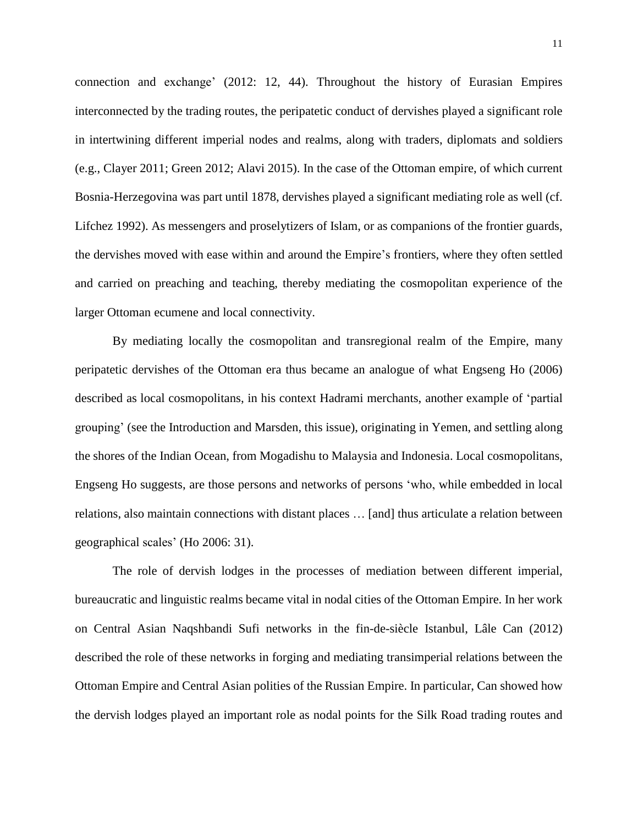connection and exchange' (2012: 12, 44). Throughout the history of Eurasian Empires interconnected by the trading routes, the peripatetic conduct of dervishes played a significant role in intertwining different imperial nodes and realms, along with traders, diplomats and soldiers (e.g., Clayer 2011; Green 2012; Alavi 2015). In the case of the Ottoman empire, of which current Bosnia-Herzegovina was part until 1878, dervishes played a significant mediating role as well (cf. Lifchez 1992). As messengers and proselytizers of Islam, or as companions of the frontier guards, the dervishes moved with ease within and around the Empire's frontiers, where they often settled and carried on preaching and teaching, thereby mediating the cosmopolitan experience of the larger Ottoman ecumene and local connectivity.

By mediating locally the cosmopolitan and transregional realm of the Empire, many peripatetic dervishes of the Ottoman era thus became an analogue of what Engseng Ho (2006) described as local cosmopolitans, in his context Hadrami merchants, another example of 'partial grouping' (see the Introduction and Marsden, this issue), originating in Yemen, and settling along the shores of the Indian Ocean, from Mogadishu to Malaysia and Indonesia. Local cosmopolitans, Engseng Ho suggests, are those persons and networks of persons 'who, while embedded in local relations, also maintain connections with distant places … [and] thus articulate a relation between geographical scales' (Ho 2006: 31).

The role of dervish lodges in the processes of mediation between different imperial, bureaucratic and linguistic realms became vital in nodal cities of the Ottoman Empire. In her work on Central Asian Naqshbandi Sufi networks in the fin-de-siècle Istanbul, Lâle Can (2012) described the role of these networks in forging and mediating transimperial relations between the Ottoman Empire and Central Asian polities of the Russian Empire. In particular, Can showed how the dervish lodges played an important role as nodal points for the Silk Road trading routes and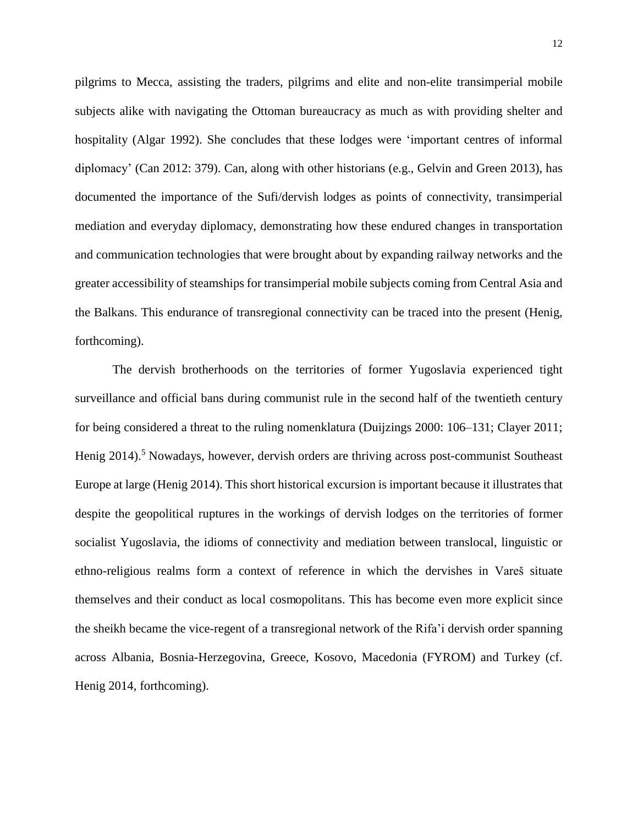pilgrims to Mecca, assisting the traders, pilgrims and elite and non-elite transimperial mobile subjects alike with navigating the Ottoman bureaucracy as much as with providing shelter and hospitality (Algar 1992). She concludes that these lodges were 'important centres of informal diplomacy' (Can 2012: 379). Can, along with other historians (e.g., Gelvin and Green 2013), has documented the importance of the Sufi/dervish lodges as points of connectivity, transimperial mediation and everyday diplomacy, demonstrating how these endured changes in transportation and communication technologies that were brought about by expanding railway networks and the greater accessibility of steamships for transimperial mobile subjects coming from Central Asia and the Balkans. This endurance of transregional connectivity can be traced into the present (Henig, forthcoming).

The dervish brotherhoods on the territories of former Yugoslavia experienced tight surveillance and official bans during communist rule in the second half of the twentieth century for being considered a threat to the ruling nomenklatura (Duijzings 2000: 106–131; Clayer 2011; Henig 2014).<sup>5</sup> Nowadays, however, dervish orders are thriving across post-communist Southeast Europe at large (Henig 2014). This short historical excursion is important because it illustrates that despite the geopolitical ruptures in the workings of dervish lodges on the territories of former socialist Yugoslavia, the idioms of connectivity and mediation between translocal, linguistic or ethno-religious realms form a context of reference in which the dervishes in Vareš situate themselves and their conduct as local cosmopolitans. This has become even more explicit since the sheikh became the vice-regent of a transregional network of the Rifa'i dervish order spanning across Albania, Bosnia-Herzegovina, Greece, Kosovo, Macedonia (FYROM) and Turkey (cf. Henig 2014, forthcoming).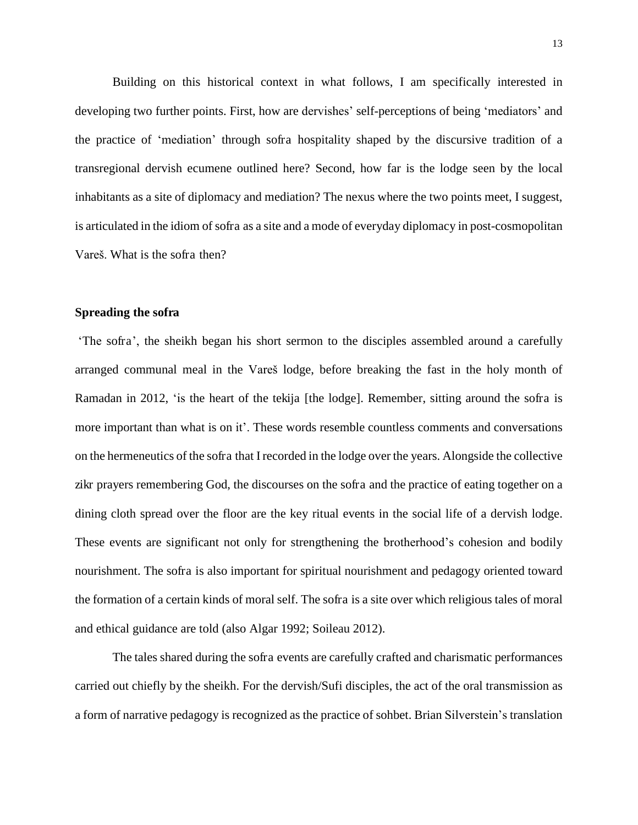Building on this historical context in what follows, I am specifically interested in developing two further points. First, how are dervishes' self-perceptions of being 'mediators' and the practice of 'mediation' through sofra hospitality shaped by the discursive tradition of a transregional dervish ecumene outlined here? Second, how far is the lodge seen by the local inhabitants as a site of diplomacy and mediation? The nexus where the two points meet, I suggest, is articulated in the idiom of sofra as a site and a mode of everyday diplomacy in post-cosmopolitan Vareš. What is the sofra then?

#### **Spreading the sofra**

'The sofra', the sheikh began his short sermon to the disciples assembled around a carefully arranged communal meal in the Vareš lodge, before breaking the fast in the holy month of Ramadan in 2012, 'is the heart of the tekija [the lodge]. Remember, sitting around the sofra is more important than what is on it'. These words resemble countless comments and conversations on the hermeneutics of the sofra that I recorded in the lodge over the years. Alongside the collective zikr prayers remembering God, the discourses on the sofra and the practice of eating together on a dining cloth spread over the floor are the key ritual events in the social life of a dervish lodge. These events are significant not only for strengthening the brotherhood's cohesion and bodily nourishment. The sofra is also important for spiritual nourishment and pedagogy oriented toward the formation of a certain kinds of moral self. The sofra is a site over which religious tales of moral and ethical guidance are told (also Algar 1992; Soileau 2012).

The tales shared during the sofra events are carefully crafted and charismatic performances carried out chiefly by the sheikh. For the dervish/Sufi disciples, the act of the oral transmission as a form of narrative pedagogy is recognized as the practice of sohbet. Brian Silverstein's translation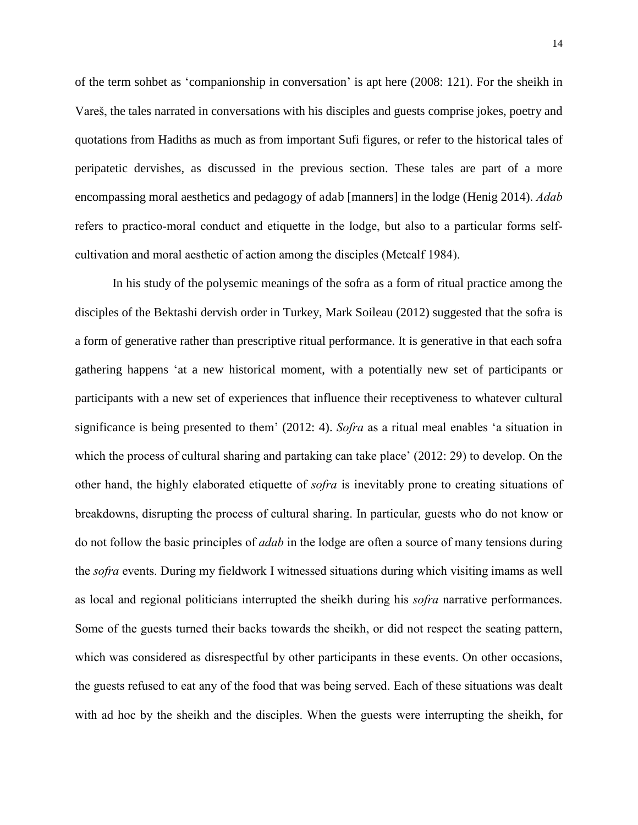of the term sohbet as 'companionship in conversation' is apt here (2008: 121). For the sheikh in Vareš, the tales narrated in conversations with his disciples and guests comprise jokes, poetry and quotations from Hadiths as much as from important Sufi figures, or refer to the historical tales of peripatetic dervishes, as discussed in the previous section. These tales are part of a more encompassing moral aesthetics and pedagogy of adab [manners] in the lodge (Henig 2014). *Adab* refers to practico-moral conduct and etiquette in the lodge, but also to a particular forms selfcultivation and moral aesthetic of action among the disciples (Metcalf 1984).

In his study of the polysemic meanings of the sofra as a form of ritual practice among the disciples of the Bektashi dervish order in Turkey, Mark Soileau (2012) suggested that the sofra is a form of generative rather than prescriptive ritual performance. It is generative in that each sofra gathering happens 'at a new historical moment, with a potentially new set of participants or participants with a new set of experiences that influence their receptiveness to whatever cultural significance is being presented to them' (2012: 4). *Sofra* as a ritual meal enables 'a situation in which the process of cultural sharing and partaking can take place' (2012: 29) to develop. On the other hand, the highly elaborated etiquette of *sofra* is inevitably prone to creating situations of breakdowns, disrupting the process of cultural sharing. In particular, guests who do not know or do not follow the basic principles of *adab* in the lodge are often a source of many tensions during the *sofra* events. During my fieldwork I witnessed situations during which visiting imams as well as local and regional politicians interrupted the sheikh during his *sofra* narrative performances. Some of the guests turned their backs towards the sheikh, or did not respect the seating pattern, which was considered as disrespectful by other participants in these events. On other occasions, the guests refused to eat any of the food that was being served. Each of these situations was dealt with ad hoc by the sheikh and the disciples. When the guests were interrupting the sheikh, for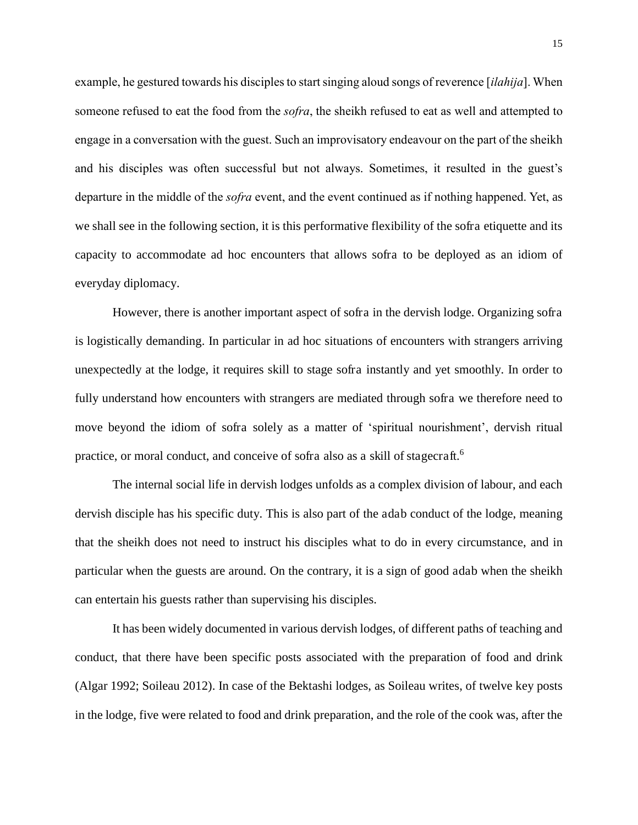example, he gestured towards his disciples to start singing aloud songs of reverence [*ilahija*]. When someone refused to eat the food from the *sofra*, the sheikh refused to eat as well and attempted to engage in a conversation with the guest. Such an improvisatory endeavour on the part of the sheikh and his disciples was often successful but not always. Sometimes, it resulted in the guest's departure in the middle of the *sofra* event, and the event continued as if nothing happened. Yet, as we shall see in the following section, it is this performative flexibility of the sofra etiquette and its capacity to accommodate ad hoc encounters that allows sofra to be deployed as an idiom of everyday diplomacy.

However, there is another important aspect of sofra in the dervish lodge. Organizing sofra is logistically demanding. In particular in ad hoc situations of encounters with strangers arriving unexpectedly at the lodge, it requires skill to stage sofra instantly and yet smoothly. In order to fully understand how encounters with strangers are mediated through sofra we therefore need to move beyond the idiom of sofra solely as a matter of 'spiritual nourishment', dervish ritual practice, or moral conduct, and conceive of sofra also as a skill of stagecraft.<sup>6</sup>

The internal social life in dervish lodges unfolds as a complex division of labour, and each dervish disciple has his specific duty. This is also part of the adab conduct of the lodge, meaning that the sheikh does not need to instruct his disciples what to do in every circumstance, and in particular when the guests are around. On the contrary, it is a sign of good adab when the sheikh can entertain his guests rather than supervising his disciples.

It has been widely documented in various dervish lodges, of different paths of teaching and conduct, that there have been specific posts associated with the preparation of food and drink (Algar 1992; Soileau 2012). In case of the Bektashi lodges, as Soileau writes, of twelve key posts in the lodge, five were related to food and drink preparation, and the role of the cook was, after the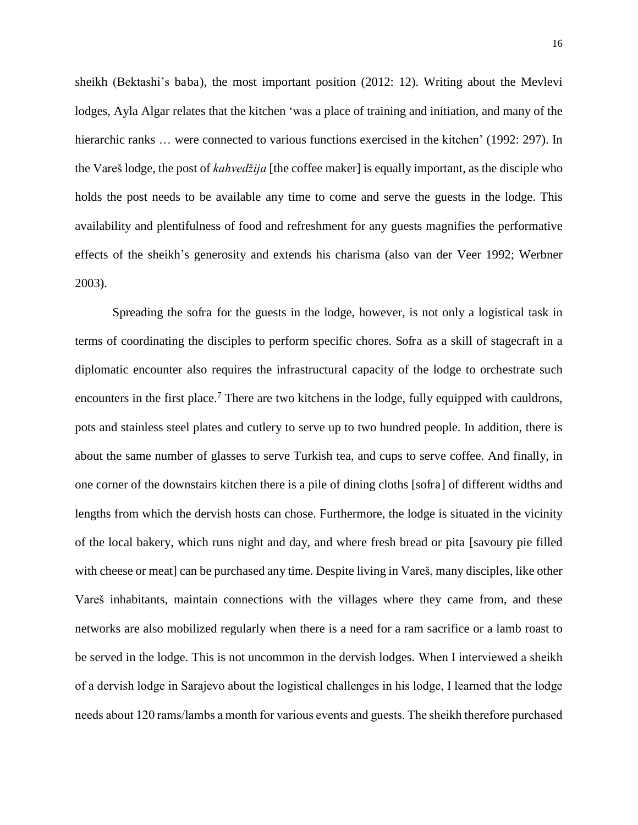sheikh (Bektashi's baba), the most important position (2012: 12). Writing about the Mevlevi lodges, Ayla Algar relates that the kitchen 'was a place of training and initiation, and many of the hierarchic ranks ... were connected to various functions exercised in the kitchen' (1992: 297). In the Vareš lodge, the post of *kahvedžija* [the coffee maker] is equally important, as the disciple who holds the post needs to be available any time to come and serve the guests in the lodge. This availability and plentifulness of food and refreshment for any guests magnifies the performative effects of the sheikh's generosity and extends his charisma (also van der Veer 1992; Werbner 2003).

Spreading the sofra for the guests in the lodge, however, is not only a logistical task in terms of coordinating the disciples to perform specific chores. Sofra as a skill of stagecraft in a diplomatic encounter also requires the infrastructural capacity of the lodge to orchestrate such encounters in the first place.<sup>7</sup> There are two kitchens in the lodge, fully equipped with cauldrons, pots and stainless steel plates and cutlery to serve up to two hundred people. In addition, there is about the same number of glasses to serve Turkish tea, and cups to serve coffee. And finally, in one corner of the downstairs kitchen there is a pile of dining cloths [sofra] of different widths and lengths from which the dervish hosts can chose. Furthermore, the lodge is situated in the vicinity of the local bakery, which runs night and day, and where fresh bread or pita [savoury pie filled with cheese or meat] can be purchased any time. Despite living in Vareš, many disciples, like other Vareš inhabitants, maintain connections with the villages where they came from, and these networks are also mobilized regularly when there is a need for a ram sacrifice or a lamb roast to be served in the lodge. This is not uncommon in the dervish lodges. When I interviewed a sheikh of a dervish lodge in Sarajevo about the logistical challenges in his lodge, I learned that the lodge needs about 120 rams/lambs a month for various events and guests. The sheikh therefore purchased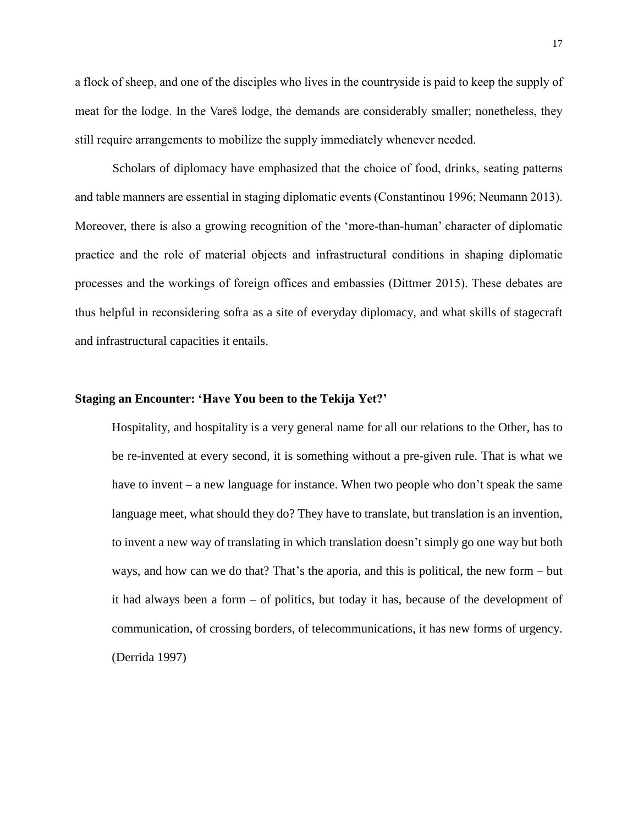a flock of sheep, and one of the disciples who lives in the countryside is paid to keep the supply of meat for the lodge. In the Vareš lodge, the demands are considerably smaller; nonetheless, they still require arrangements to mobilize the supply immediately whenever needed.

Scholars of diplomacy have emphasized that the choice of food, drinks, seating patterns and table manners are essential in staging diplomatic events (Constantinou 1996; Neumann 2013). Moreover, there is also a growing recognition of the 'more-than-human' character of diplomatic practice and the role of material objects and infrastructural conditions in shaping diplomatic processes and the workings of foreign offices and embassies (Dittmer 2015). These debates are thus helpful in reconsidering sofra as a site of everyday diplomacy, and what skills of stagecraft and infrastructural capacities it entails.

#### **Staging an Encounter: 'Have You been to the Tekija Yet?'**

Hospitality, and hospitality is a very general name for all our relations to the Other, has to be re-invented at every second, it is something without a pre-given rule. That is what we have to invent – a new language for instance. When two people who don't speak the same language meet, what should they do? They have to translate, but translation is an invention, to invent a new way of translating in which translation doesn't simply go one way but both ways, and how can we do that? That's the aporia, and this is political, the new form – but it had always been a form – of politics, but today it has, because of the development of communication, of crossing borders, of telecommunications, it has new forms of urgency. (Derrida 1997)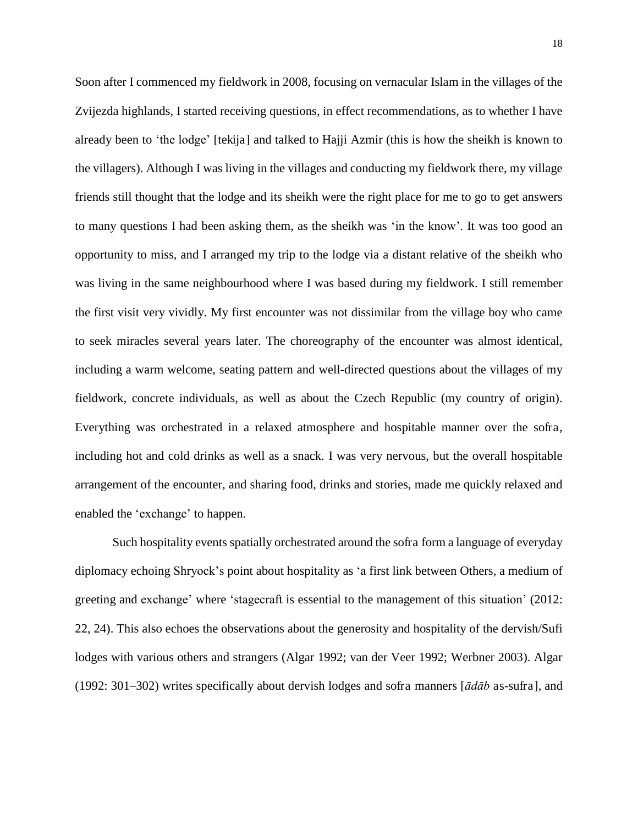Soon after I commenced my fieldwork in 2008, focusing on vernacular Islam in the villages of the Zvijezda highlands, I started receiving questions, in effect recommendations, as to whether I have already been to 'the lodge' [tekija] and talked to Hajji Azmir (this is how the sheikh is known to the villagers). Although I was living in the villages and conducting my fieldwork there, my village friends still thought that the lodge and its sheikh were the right place for me to go to get answers to many questions I had been asking them, as the sheikh was 'in the know'. It was too good an opportunity to miss, and I arranged my trip to the lodge via a distant relative of the sheikh who was living in the same neighbourhood where I was based during my fieldwork. I still remember the first visit very vividly. My first encounter was not dissimilar from the village boy who came to seek miracles several years later. The choreography of the encounter was almost identical, including a warm welcome, seating pattern and well-directed questions about the villages of my fieldwork, concrete individuals, as well as about the Czech Republic (my country of origin). Everything was orchestrated in a relaxed atmosphere and hospitable manner over the sofra, including hot and cold drinks as well as a snack. I was very nervous, but the overall hospitable arrangement of the encounter, and sharing food, drinks and stories, made me quickly relaxed and enabled the 'exchange' to happen.

Such hospitality events spatially orchestrated around the sofra form a language of everyday diplomacy echoing Shryock's point about hospitality as 'a first link between Others, a medium of greeting and exchange' where 'stagecraft is essential to the management of this situation' (2012: 22, 24). This also echoes the observations about the generosity and hospitality of the dervish/Sufi lodges with various others and strangers (Algar 1992; van der Veer 1992; Werbner 2003). Algar (1992: 301–302) writes specifically about dervish lodges and sofra manners [*ダdダb* as-sufra], and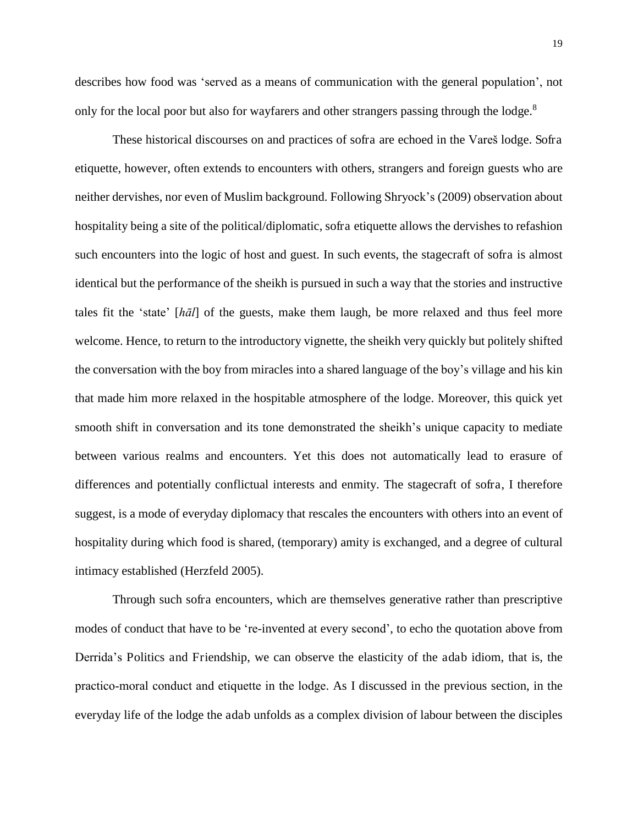describes how food was 'served as a means of communication with the general population', not only for the local poor but also for wayfarers and other strangers passing through the lodge.<sup>8</sup>

These historical discourses on and practices of sofra are echoed in the Vareš lodge. Sofra etiquette, however, often extends to encounters with others, strangers and foreign guests who are neither dervishes, nor even of Muslim background. Following Shryock's (2009) observation about hospitality being a site of the political/diplomatic, sofra etiquette allows the dervishes to refashion such encounters into the logic of host and guest. In such events, the stagecraft of sofra is almost identical but the performance of the sheikh is pursued in such a way that the stories and instructive tales fit the 'state' [*hダl*] of the guests, make them laugh, be more relaxed and thus feel more welcome. Hence, to return to the introductory vignette, the sheikh very quickly but politely shifted the conversation with the boy from miracles into a shared language of the boy's village and his kin that made him more relaxed in the hospitable atmosphere of the lodge. Moreover, this quick yet smooth shift in conversation and its tone demonstrated the sheikh's unique capacity to mediate between various realms and encounters. Yet this does not automatically lead to erasure of differences and potentially conflictual interests and enmity. The stagecraft of sofra, I therefore suggest, is a mode of everyday diplomacy that rescales the encounters with others into an event of hospitality during which food is shared, (temporary) amity is exchanged, and a degree of cultural intimacy established (Herzfeld 2005).

Through such sofra encounters, which are themselves generative rather than prescriptive modes of conduct that have to be 're-invented at every second', to echo the quotation above from Derrida's Politics and Friendship, we can observe the elasticity of the adab idiom, that is, the practico-moral conduct and etiquette in the lodge. As I discussed in the previous section, in the everyday life of the lodge the adab unfolds as a complex division of labour between the disciples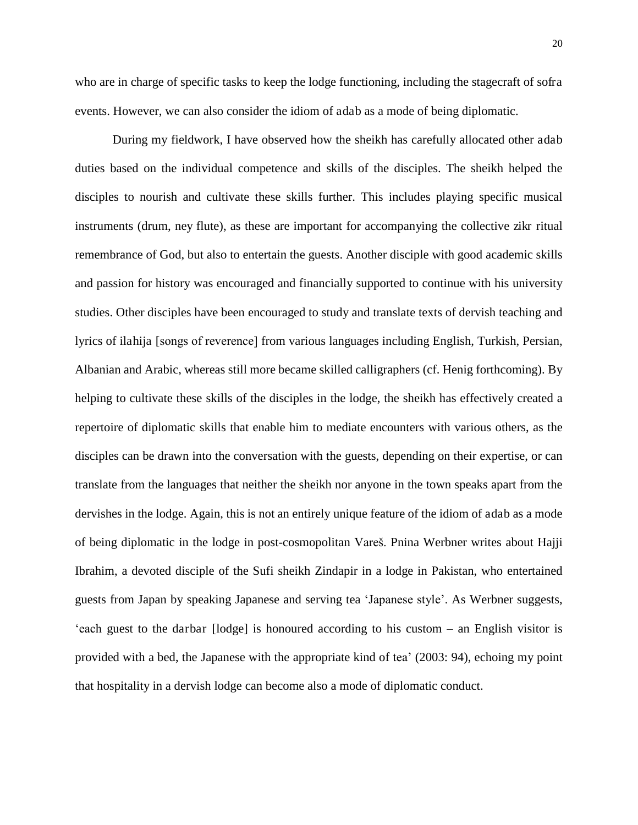who are in charge of specific tasks to keep the lodge functioning, including the stagecraft of sofra events. However, we can also consider the idiom of adab as a mode of being diplomatic.

During my fieldwork, I have observed how the sheikh has carefully allocated other adab duties based on the individual competence and skills of the disciples. The sheikh helped the disciples to nourish and cultivate these skills further. This includes playing specific musical instruments (drum, ney flute), as these are important for accompanying the collective zikr ritual remembrance of God, but also to entertain the guests. Another disciple with good academic skills and passion for history was encouraged and financially supported to continue with his university studies. Other disciples have been encouraged to study and translate texts of dervish teaching and lyrics of ilahija [songs of reverence] from various languages including English, Turkish, Persian, Albanian and Arabic, whereas still more became skilled calligraphers (cf. Henig forthcoming). By helping to cultivate these skills of the disciples in the lodge, the sheikh has effectively created a repertoire of diplomatic skills that enable him to mediate encounters with various others, as the disciples can be drawn into the conversation with the guests, depending on their expertise, or can translate from the languages that neither the sheikh nor anyone in the town speaks apart from the dervishes in the lodge. Again, this is not an entirely unique feature of the idiom of adab as a mode of being diplomatic in the lodge in post-cosmopolitan Vareš. Pnina Werbner writes about Hajji Ibrahim, a devoted disciple of the Sufi sheikh Zindapir in a lodge in Pakistan, who entertained guests from Japan by speaking Japanese and serving tea 'Japanese style'. As Werbner suggests, 'each guest to the darbar [lodge] is honoured according to his custom – an English visitor is provided with a bed, the Japanese with the appropriate kind of tea' (2003: 94), echoing my point that hospitality in a dervish lodge can become also a mode of diplomatic conduct.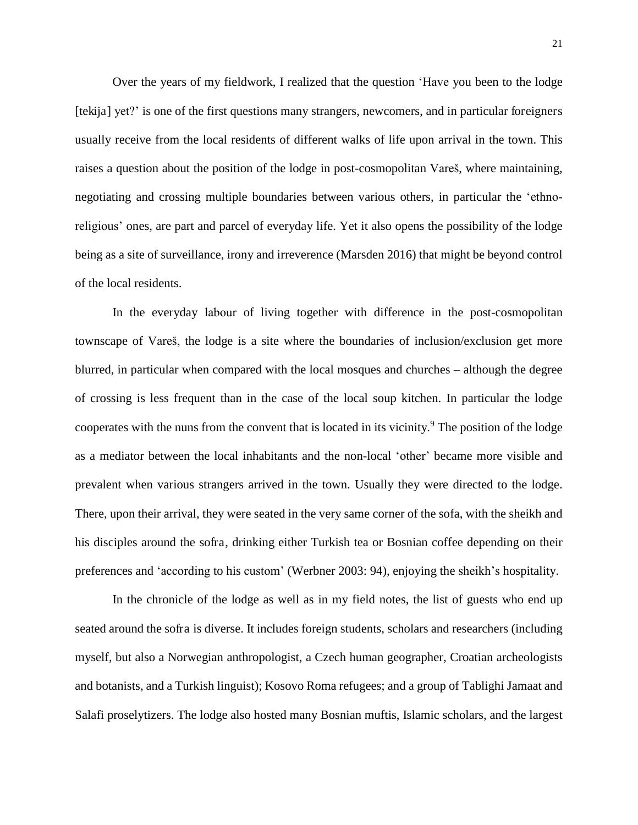Over the years of my fieldwork, I realized that the question 'Have you been to the lodge [tekija] yet?' is one of the first questions many strangers, newcomers, and in particular foreigners usually receive from the local residents of different walks of life upon arrival in the town. This raises a question about the position of the lodge in post-cosmopolitan Vareš, where maintaining, negotiating and crossing multiple boundaries between various others, in particular the 'ethnoreligious' ones, are part and parcel of everyday life. Yet it also opens the possibility of the lodge being as a site of surveillance, irony and irreverence (Marsden 2016) that might be beyond control of the local residents.

In the everyday labour of living together with difference in the post-cosmopolitan townscape of Vareš, the lodge is a site where the boundaries of inclusion/exclusion get more blurred, in particular when compared with the local mosques and churches – although the degree of crossing is less frequent than in the case of the local soup kitchen. In particular the lodge cooperates with the nuns from the convent that is located in its vicinity.<sup>9</sup> The position of the lodge as a mediator between the local inhabitants and the non-local 'other' became more visible and prevalent when various strangers arrived in the town. Usually they were directed to the lodge. There, upon their arrival, they were seated in the very same corner of the sofa, with the sheikh and his disciples around the sofra, drinking either Turkish tea or Bosnian coffee depending on their preferences and 'according to his custom' (Werbner 2003: 94), enjoying the sheikh's hospitality.

In the chronicle of the lodge as well as in my field notes, the list of guests who end up seated around the sofra is diverse. It includes foreign students, scholars and researchers (including myself, but also a Norwegian anthropologist, a Czech human geographer, Croatian archeologists and botanists, and a Turkish linguist); Kosovo Roma refugees; and a group of Tablighi Jamaat and Salafi proselytizers. The lodge also hosted many Bosnian muftis, Islamic scholars, and the largest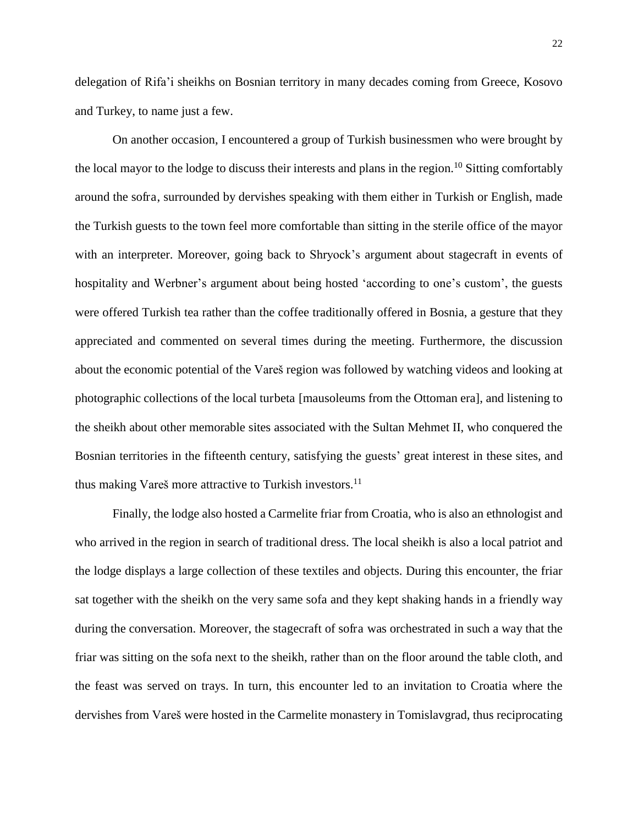delegation of Rifa'i sheikhs on Bosnian territory in many decades coming from Greece, Kosovo and Turkey, to name just a few.

On another occasion, I encountered a group of Turkish businessmen who were brought by the local mayor to the lodge to discuss their interests and plans in the region.<sup>10</sup> Sitting comfortably around the sofra, surrounded by dervishes speaking with them either in Turkish or English, made the Turkish guests to the town feel more comfortable than sitting in the sterile office of the mayor with an interpreter. Moreover, going back to Shryock's argument about stagecraft in events of hospitality and Werbner's argument about being hosted 'according to one's custom', the guests were offered Turkish tea rather than the coffee traditionally offered in Bosnia, a gesture that they appreciated and commented on several times during the meeting. Furthermore, the discussion about the economic potential of the Vareš region was followed by watching videos and looking at photographic collections of the local turbeta [mausoleums from the Ottoman era], and listening to the sheikh about other memorable sites associated with the Sultan Mehmet II, who conquered the Bosnian territories in the fifteenth century, satisfying the guests' great interest in these sites, and thus making Vareš more attractive to Turkish investors.<sup>11</sup>

Finally, the lodge also hosted a Carmelite friar from Croatia, who is also an ethnologist and who arrived in the region in search of traditional dress. The local sheikh is also a local patriot and the lodge displays a large collection of these textiles and objects. During this encounter, the friar sat together with the sheikh on the very same sofa and they kept shaking hands in a friendly way during the conversation. Moreover, the stagecraft of sofra was orchestrated in such a way that the friar was sitting on the sofa next to the sheikh, rather than on the floor around the table cloth, and the feast was served on trays. In turn, this encounter led to an invitation to Croatia where the dervishes from Vareš were hosted in the Carmelite monastery in Tomislavgrad, thus reciprocating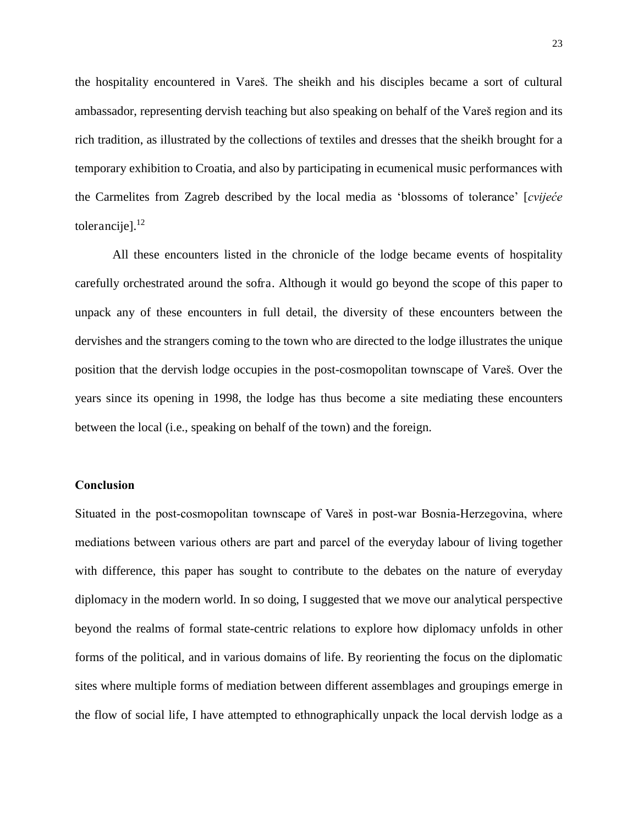the hospitality encountered in Vareš. The sheikh and his disciples became a sort of cultural ambassador, representing dervish teaching but also speaking on behalf of the Vareš region and its rich tradition, as illustrated by the collections of textiles and dresses that the sheikh brought for a temporary exhibition to Croatia, and also by participating in ecumenical music performances with the Carmelites from Zagreb described by the local media as 'blossoms of tolerance' [*cvijeće* tolerancije $l^{12}$ 

All these encounters listed in the chronicle of the lodge became events of hospitality carefully orchestrated around the sofra. Although it would go beyond the scope of this paper to unpack any of these encounters in full detail, the diversity of these encounters between the dervishes and the strangers coming to the town who are directed to the lodge illustrates the unique position that the dervish lodge occupies in the post-cosmopolitan townscape of Vareš. Over the years since its opening in 1998, the lodge has thus become a site mediating these encounters between the local (i.e., speaking on behalf of the town) and the foreign.

#### **Conclusion**

Situated in the post-cosmopolitan townscape of Vareš in post-war Bosnia-Herzegovina, where mediations between various others are part and parcel of the everyday labour of living together with difference, this paper has sought to contribute to the debates on the nature of everyday diplomacy in the modern world. In so doing, I suggested that we move our analytical perspective beyond the realms of formal state-centric relations to explore how diplomacy unfolds in other forms of the political, and in various domains of life. By reorienting the focus on the diplomatic sites where multiple forms of mediation between different assemblages and groupings emerge in the flow of social life, I have attempted to ethnographically unpack the local dervish lodge as a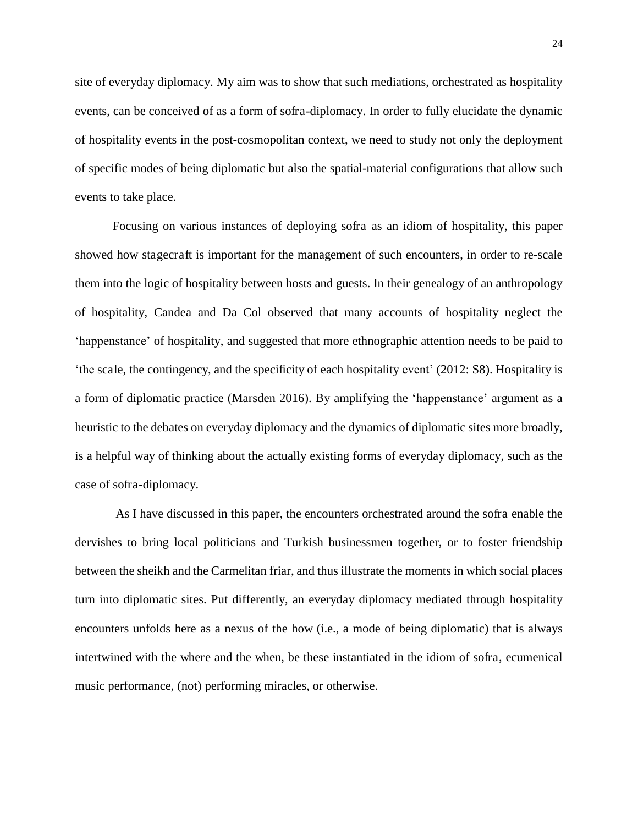site of everyday diplomacy. My aim was to show that such mediations, orchestrated as hospitality events, can be conceived of as a form of sofra-diplomacy. In order to fully elucidate the dynamic of hospitality events in the post-cosmopolitan context, we need to study not only the deployment of specific modes of being diplomatic but also the spatial-material configurations that allow such events to take place.

Focusing on various instances of deploying sofra as an idiom of hospitality, this paper showed how stagecraft is important for the management of such encounters, in order to re-scale them into the logic of hospitality between hosts and guests. In their genealogy of an anthropology of hospitality, Candea and Da Col observed that many accounts of hospitality neglect the 'happenstance' of hospitality, and suggested that more ethnographic attention needs to be paid to 'the scale, the contingency, and the specificity of each hospitality event' (2012: S8). Hospitality is a form of diplomatic practice (Marsden 2016). By amplifying the 'happenstance' argument as a heuristic to the debates on everyday diplomacy and the dynamics of diplomatic sites more broadly, is a helpful way of thinking about the actually existing forms of everyday diplomacy, such as the case of sofra-diplomacy.

As I have discussed in this paper, the encounters orchestrated around the sofra enable the dervishes to bring local politicians and Turkish businessmen together, or to foster friendship between the sheikh and the Carmelitan friar, and thus illustrate the moments in which social places turn into diplomatic sites. Put differently, an everyday diplomacy mediated through hospitality encounters unfolds here as a nexus of the how (i.e., a mode of being diplomatic) that is always intertwined with the where and the when, be these instantiated in the idiom of sofra, ecumenical music performance, (not) performing miracles, or otherwise.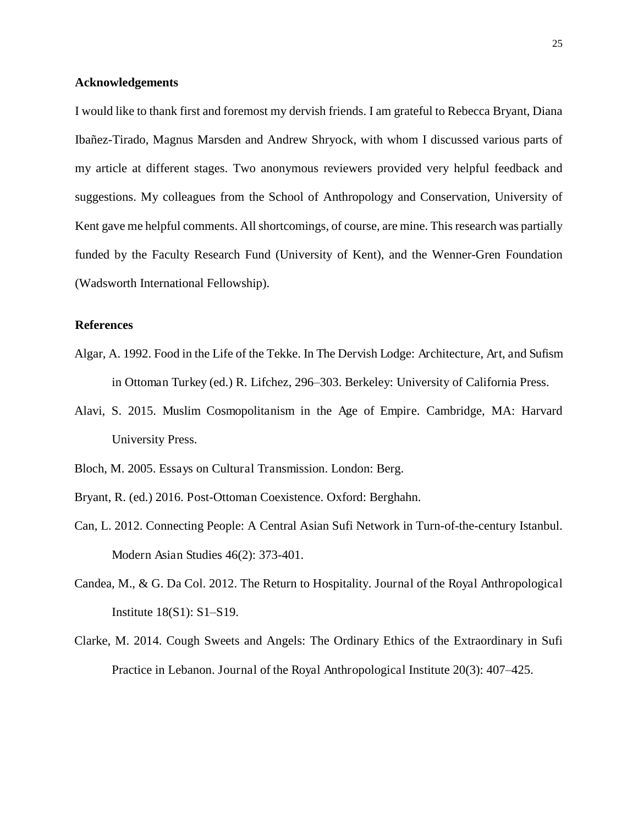#### **Acknowledgements**

I would like to thank first and foremost my dervish friends. I am grateful to Rebecca Bryant, Diana Ibañez-Tirado, Magnus Marsden and Andrew Shryock, with whom I discussed various parts of my article at different stages. Two anonymous reviewers provided very helpful feedback and suggestions. My colleagues from the School of Anthropology and Conservation, University of Kent gave me helpful comments. All shortcomings, of course, are mine. This research was partially funded by the Faculty Research Fund (University of Kent), and the Wenner-Gren Foundation (Wadsworth International Fellowship).

#### **References**

- Algar, A. 1992. Food in the Life of the Tekke. In The Dervish Lodge: Architecture, Art, and Sufism in Ottoman Turkey (ed.) R. Lifchez, 296–303. Berkeley: University of California Press.
- Alavi, S. 2015. Muslim Cosmopolitanism in the Age of Empire. Cambridge, MA: Harvard University Press.
- Bloch, M. 2005. Essays on Cultural Transmission. London: Berg.
- Bryant, R. (ed.) 2016. Post-Ottoman Coexistence. Oxford: Berghahn.
- Can, L. 2012. Connecting People: A Central Asian Sufi Network in Turn-of-the-century Istanbul. Modern Asian Studies 46(2): 373-401.
- Candea, M., & G. Da Col. 2012. The Return to Hospitality. Journal of the Royal Anthropological Institute 18(S1): S1–S19.
- Clarke, M. 2014. Cough Sweets and Angels: The Ordinary Ethics of the Extraordinary in Sufi Practice in Lebanon. Journal of the Royal Anthropological Institute 20(3): 407–425.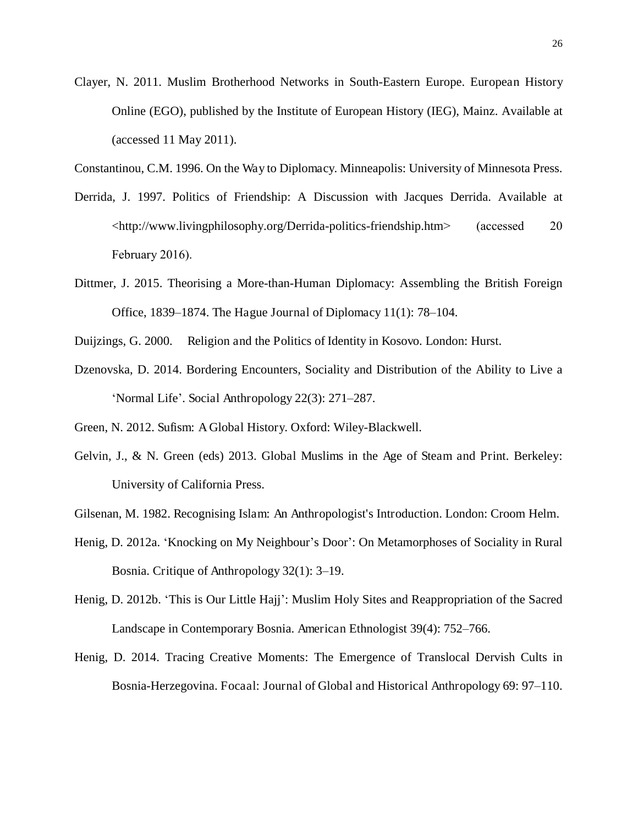- Clayer, N. 2011. Muslim Brotherhood Networks in South-Eastern Europe. European History Online (EGO), published by the Institute of European History (IEG), Mainz. Available at (accessed 11 May 2011).
- Constantinou, C.M. 1996. On the Way to Diplomacy. Minneapolis: University of Minnesota Press.
- Derrida, J. 1997. Politics of Friendship: A Discussion with Jacques Derrida. Available at <http://www.livingphilosophy.org/Derrida-politics-friendship.htm> (accessed 20 February 2016).
- Dittmer, J. 2015. Theorising a More-than-Human Diplomacy: Assembling the British Foreign Office, 1839–1874. The Hague Journal of Diplomacy 11(1): 78–104.
- Duijzings, G. 2000. Religion and the Politics of Identity in Kosovo. London: Hurst.
- Dzenovska, D. 2014. Bordering Encounters, Sociality and Distribution of the Ability to Live a 'Normal Life'. Social Anthropology 22(3): 271–287.
- Green, N. 2012. Sufism: A Global History. Oxford: Wiley-Blackwell.
- Gelvin, J., & N. Green (eds) 2013. Global Muslims in the Age of Steam and Print. Berkeley: University of California Press.
- Gilsenan, M. 1982. Recognising Islam: An Anthropologist's Introduction. London: Croom Helm.
- Henig, D. 2012a. 'Knocking on My Neighbour's Door': On Metamorphoses of Sociality in Rural Bosnia. Critique of Anthropology 32(1): 3–19.
- Henig, D. 2012b. 'This is Our Little Hajj': Muslim Holy Sites and Reappropriation of the Sacred Landscape in Contemporary Bosnia. American Ethnologist 39(4): 752–766.
- Henig, D. 2014. Tracing Creative Moments: The Emergence of Translocal Dervish Cults in Bosnia-Herzegovina. Focaal: Journal of Global and Historical Anthropology 69: 97–110.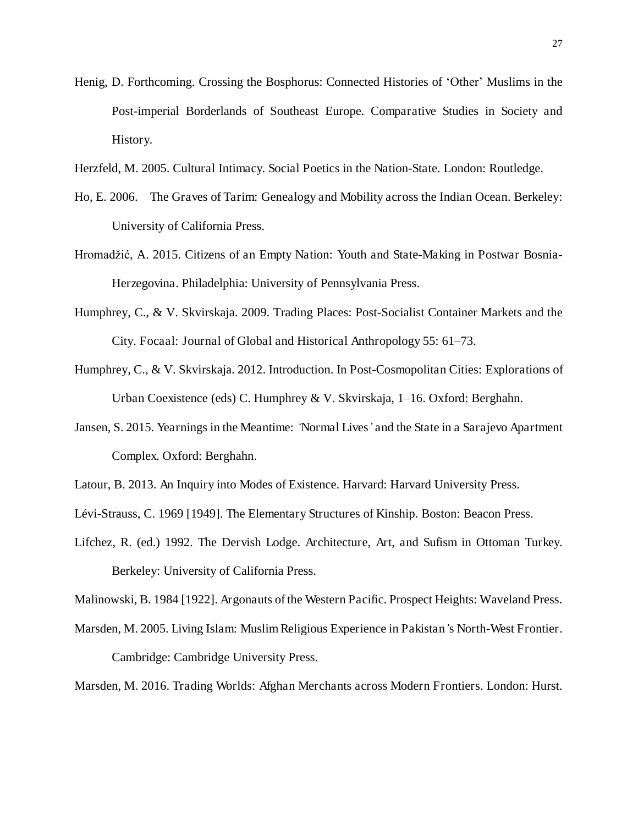- Henig, D. Forthcoming. Crossing the Bosphorus: Connected Histories of 'Other' Muslims in the Post-imperial Borderlands of Southeast Europe. Comparative Studies in Society and History.
- Herzfeld, M. 2005. Cultural Intimacy. Social Poetics in the Nation-State. London: Routledge.
- Ho, E. 2006. The Graves of Tarim: Genealogy and Mobility across the Indian Ocean. Berkeley: University of California Press.
- Hromadžić, A. 2015. Citizens of an Empty Nation: Youth and State-Making in Postwar Bosnia-Herzegovina. Philadelphia: University of Pennsylvania Press.
- Humphrey, C., & V. Skvirskaja. 2009. Trading Places: Post-Socialist Container Markets and the City. Focaal: Journal of Global and Historical Anthropology 55: 61–73.
- Humphrey, C., & V. Skvirskaja. 2012. Introduction. In Post-Cosmopolitan Cities: Explorations of Urban Coexistence (eds) C. Humphrey & V. Skvirskaja, 1–16. Oxford: Berghahn.
- Jansen, S. 2015. Yearnings in the Meantime: *'*Normal Lives*'* and the State in a Sarajevo Apartment Complex. Oxford: Berghahn.
- Latour, B. 2013. An Inquiry into Modes of Existence. Harvard: Harvard University Press.
- Lévi-Strauss, C. 1969 [1949]. The Elementary Structures of Kinship. Boston: Beacon Press.
- Lifchez, R. (ed.) 1992. The Dervish Lodge. Architecture, Art, and Sufism in Ottoman Turkey. Berkeley: University of California Press.

Malinowski, B. 1984 [1922]. Argonauts of the Western Pacific. Prospect Heights: Waveland Press.

Marsden, M. 2005. Living Islam: Muslim Religious Experience in Pakistan*'*s North-West Frontier. Cambridge: Cambridge University Press.

Marsden, M. 2016. Trading Worlds: Afghan Merchants across Modern Frontiers. London: Hurst.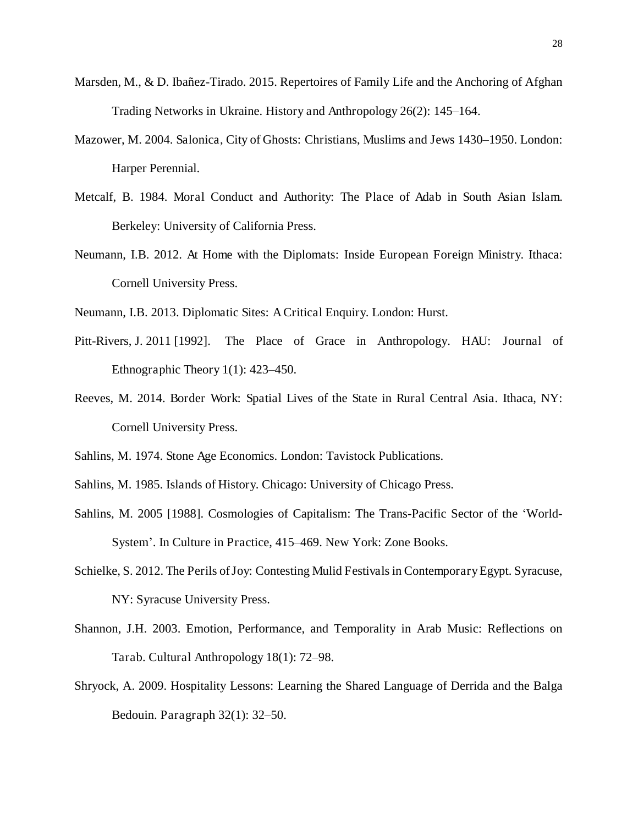- Marsden, M., & D. Ibañez-Tirado. 2015. Repertoires of Family Life and the Anchoring of Afghan Trading Networks in Ukraine. History and Anthropology 26(2): 145–164.
- Mazower, M. 2004. Salonica, City of Ghosts: Christians, Muslims and Jews 1430*–*1950. London: Harper Perennial.
- Metcalf, B. 1984. Moral Conduct and Authority: The Place of Adab in South Asian Islam. Berkeley: University of California Press.
- Neumann, I.B. 2012. At Home with the Diplomats: Inside European Foreign Ministry. Ithaca: Cornell University Press.
- Neumann, I.B. 2013. Diplomatic Sites: A Critical Enquiry. London: Hurst.
- Pitt-Rivers, J. 2011 [1992]. The Place of Grace in Anthropology. HAU: Journal of Ethnographic Theory 1(1): 423–450.
- Reeves, M. 2014. Border Work: Spatial Lives of the State in Rural Central Asia. Ithaca, NY: Cornell University Press.
- Sahlins, M. 1974. Stone Age Economics. London: Tavistock Publications.
- Sahlins, M. 1985. Islands of History. Chicago: University of Chicago Press.
- Sahlins, M. 2005 [1988]. Cosmologies of Capitalism: The Trans-Pacific Sector of the 'World-System'. In Culture in Practice, 415–469. New York: Zone Books.
- Schielke, S. 2012. The Perils of Joy: Contesting Mulid Festivals in Contemporary Egypt. Syracuse, NY: Syracuse University Press.
- Shannon, J.H. 2003. Emotion, Performance, and Temporality in Arab Music: Reflections on Tarab. Cultural Anthropology 18(1): 72–98.
- Shryock, A. 2009. Hospitality Lessons: Learning the Shared Language of Derrida and the Balga Bedouin. Paragraph 32(1): 32–50.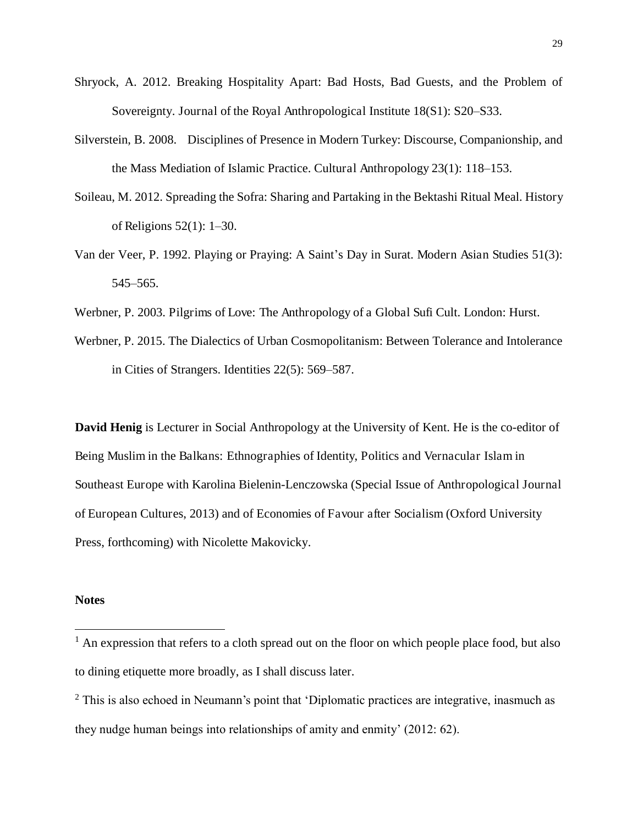- Shryock, A. 2012. Breaking Hospitality Apart: Bad Hosts, Bad Guests, and the Problem of Sovereignty. Journal of the Royal Anthropological Institute 18(S1): S20–S33.
- Silverstein, B. 2008. Disciplines of Presence in Modern Turkey: Discourse, Companionship, and the Mass Mediation of Islamic Practice. Cultural Anthropology 23(1): 118–153.
- Soileau, M. 2012. Spreading the Sofra: Sharing and Partaking in the Bektashi Ritual Meal. History of Religions 52(1): 1–30.
- Van der Veer, P. 1992. Playing or Praying: A Saint's Day in Surat. Modern Asian Studies 51(3): 545–565.
- Werbner, P. 2003. Pilgrims of Love: The Anthropology of a Global Sufi Cult. London: Hurst.
- Werbner, P. 2015. The Dialectics of Urban Cosmopolitanism: Between Tolerance and Intolerance in Cities of Strangers. Identities 22(5): 569–587.

**David Henig** is Lecturer in Social Anthropology at the University of Kent. He is the co-editor of Being Muslim in the Balkans: Ethnographies of Identity, Politics and Vernacular Islam in Southeast Europe with Karolina Bielenin-Lenczowska (Special Issue of Anthropological Journal of European Cultures, 2013) and of Economies of Favour after Socialism (Oxford University Press, forthcoming) with Nicolette Makovicky.

#### **Notes**

 $\overline{a}$ 

 $<sup>1</sup>$  An expression that refers to a cloth spread out on the floor on which people place food, but also</sup> to dining etiquette more broadly, as I shall discuss later.

<sup>&</sup>lt;sup>2</sup> This is also echoed in Neumann's point that 'Diplomatic practices are integrative, inasmuch as they nudge human beings into relationships of amity and enmity' (2012: 62).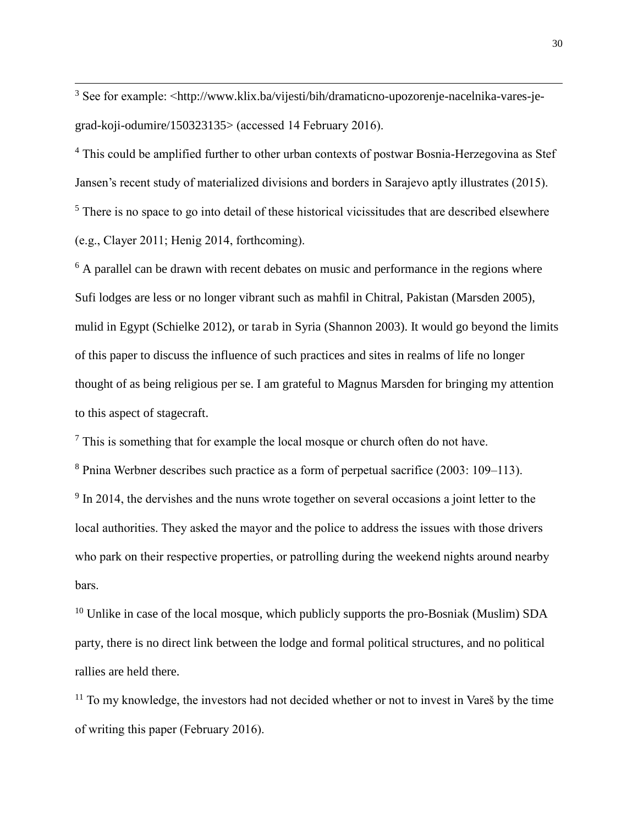<sup>3</sup> See for example: <http://www.klix.ba/vijesti/bih/dramaticno-upozorenje-nacelnika-vares-jegrad-koji-odumire/150323135> (accessed 14 February 2016).

 $\overline{a}$ 

<sup>4</sup> This could be amplified further to other urban contexts of postwar Bosnia-Herzegovina as Stef Jansen's recent study of materialized divisions and borders in Sarajevo aptly illustrates (2015). <sup>5</sup> There is no space to go into detail of these historical vicissitudes that are described elsewhere (e.g., Clayer 2011; Henig 2014, forthcoming).

<sup>6</sup> A parallel can be drawn with recent debates on music and performance in the regions where Sufi lodges are less or no longer vibrant such as mahfil in Chitral, Pakistan (Marsden 2005), mulid in Egypt (Schielke 2012), or tarab in Syria (Shannon 2003). It would go beyond the limits of this paper to discuss the influence of such practices and sites in realms of life no longer thought of as being religious per se. I am grateful to Magnus Marsden for bringing my attention to this aspect of stagecraft.

<sup>7</sup> This is something that for example the local mosque or church often do not have.

<sup>8</sup> Pnina Werbner describes such practice as a form of perpetual sacrifice (2003: 109–113).

<sup>9</sup> In 2014, the dervishes and the nuns wrote together on several occasions a joint letter to the local authorities. They asked the mayor and the police to address the issues with those drivers who park on their respective properties, or patrolling during the weekend nights around nearby bars.

 $10$  Unlike in case of the local mosque, which publicly supports the pro-Bosniak (Muslim) SDA party, there is no direct link between the lodge and formal political structures, and no political rallies are held there.

 $11$  To my knowledge, the investors had not decided whether or not to invest in Vareš by the time of writing this paper (February 2016).